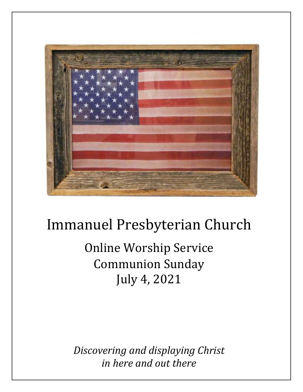

# Immanuel Presbyterian Church

Online Worship Service Communion Sunday July 4, 2021

*Discovering and displaying Christ in here and out there*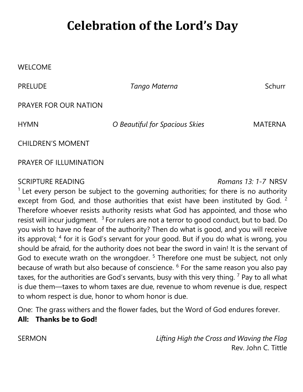## **Celebration of the Lord's Day**

#### WELCOME

PRELUDE *Tango Materna* Schurr

PRAYER FOR OUR NATION

HYMN *O Beautiful for Spacious Skies* MATERNA

CHILDREN'S MOMENT

PRAYER OF ILLUMINATION

SCRIPTURE READING *Romans 13: 1-7* NRSV

 $1$  Let every person be subject to the governing authorities; for there is no authority except from God, and those authorities that exist have been instituted by God.  $2$ Therefore whoever resists authority resists what God has appointed, and those who resist will incur judgment.  $3$  For rulers are not a terror to good conduct, but to bad. Do you wish to have no fear of the authority? Then do what is good, and you will receive its approval; <sup>4</sup> for it is God's servant for your good. But if you do what is wrong, you should be afraid, for the authority does not bear the sword in vain! It is the servant of God to execute wrath on the wrongdoer.<sup>5</sup> Therefore one must be subject, not only because of wrath but also because of conscience. <sup>6</sup> For the same reason you also pay taxes, for the authorities are God's servants, busy with this very thing.  $^7$  Pay to all what is due them—taxes to whom taxes are due, revenue to whom revenue is due, respect to whom respect is due, honor to whom honor is due.

One: The grass withers and the flower fades, but the Word of God endures forever. **All: Thanks be to God!**

SERMON *Lifting High the Cross and Waving the Flag* Rev. John C. Tittle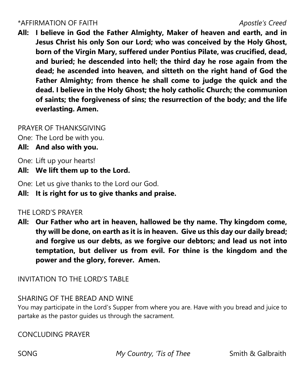#### \*AFFIRMATION OF FAITH *Apostle's Creed*

**All: I believe in God the Father Almighty, Maker of heaven and earth, and in Jesus Christ his only Son our Lord; who was conceived by the Holy Ghost, born of the Virgin Mary, suffered under Pontius Pilate, was crucified, dead, and buried; he descended into hell; the third day he rose again from the dead; he ascended into heaven, and sitteth on the right hand of God the Father Almighty; from thence he shall come to judge the quick and the dead. I believe in the Holy Ghost; the holy catholic Church; the communion of saints; the forgiveness of sins; the resurrection of the body; and the life everlasting. Amen.**

#### PRAYER OF THANKSGIVING

One: The Lord be with you.

**All: And also with you.**

One: Lift up your hearts!

**All: We lift them up to the Lord.**

One: Let us give thanks to the Lord our God.

**All: It is right for us to give thanks and praise.**

#### THE LORD'S PRAYER

**All: Our Father who art in heaven, hallowed be thy name. Thy kingdom come, thy will be done, on earth as it is in heaven. Give us this day our daily bread; and forgive us our debts, as we forgive our debtors; and lead us not into temptation, but deliver us from evil. For thine is the kingdom and the power and the glory, forever. Amen.**

INVITATION TO THE LORD'S TABLE

### SHARING OF THE BREAD AND WINE

You may participate in the Lord's Supper from where you are. Have with you bread and juice to partake as the pastor guides us through the sacrament.

CONCLUDING PRAYER